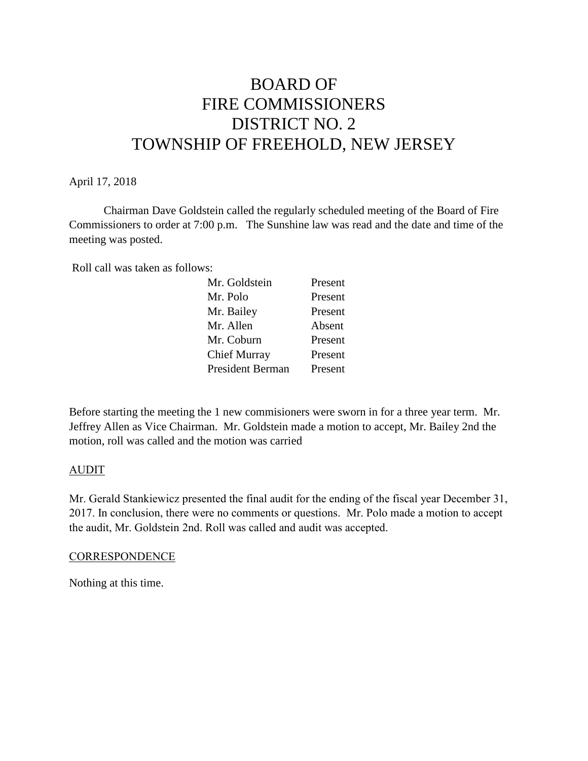# BOARD OF FIRE COMMISSIONERS DISTRICT NO. 2 TOWNSHIP OF FREEHOLD, NEW JERSEY

#### April 17, 2018

Chairman Dave Goldstein called the regularly scheduled meeting of the Board of Fire Commissioners to order at 7:00 p.m. The Sunshine law was read and the date and time of the meeting was posted.

Roll call was taken as follows:

| Present |
|---------|
| Present |
| Absent  |
| Present |
| Present |
| Present |
|         |

Before starting the meeting the 1 new commisioners were sworn in for a three year term. Mr. Jeffrey Allen as Vice Chairman. Mr. Goldstein made a motion to accept, Mr. Bailey 2nd the motion, roll was called and the motion was carried

## AUDIT

Mr. Gerald Stankiewicz presented the final audit for the ending of the fiscal year December 31, 2017. In conclusion, there were no comments or questions. Mr. Polo made a motion to accept the audit, Mr. Goldstein 2nd. Roll was called and audit was accepted.

#### **CORRESPONDENCE**

Nothing at this time.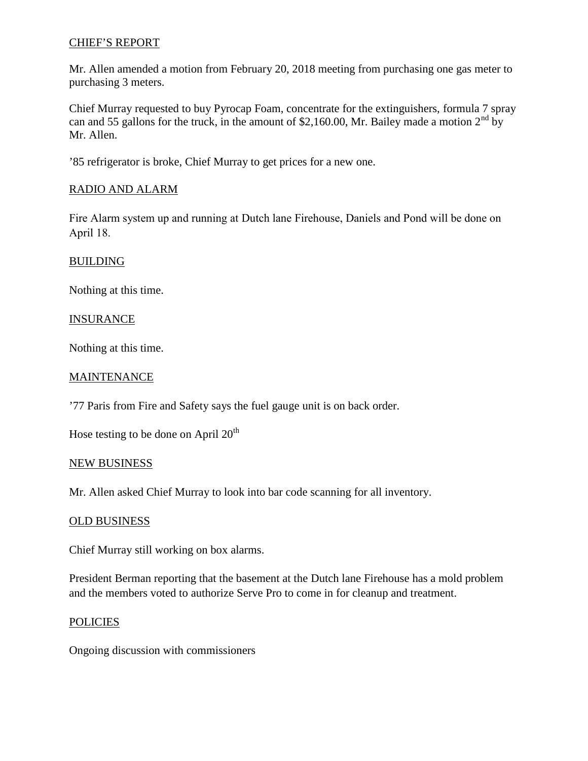## CHIEF'S REPORT

Mr. Allen amended a motion from February 20, 2018 meeting from purchasing one gas meter to purchasing 3 meters.

Chief Murray requested to buy Pyrocap Foam, concentrate for the extinguishers, formula 7 spray can and 55 gallons for the truck, in the amount of \$2,160.00, Mr. Bailey made a motion  $2<sup>nd</sup>$  by Mr. Allen.

'85 refrigerator is broke, Chief Murray to get prices for a new one.

## RADIO AND ALARM

Fire Alarm system up and running at Dutch lane Firehouse, Daniels and Pond will be done on April 18.

## **BUILDING**

Nothing at this time.

#### **INSURANCE**

Nothing at this time.

#### **MAINTENANCE**

'77 Paris from Fire and Safety says the fuel gauge unit is on back order.

Hose testing to be done on April  $20<sup>th</sup>$ 

#### NEW BUSINESS

Mr. Allen asked Chief Murray to look into bar code scanning for all inventory.

#### OLD BUSINESS

Chief Murray still working on box alarms.

President Berman reporting that the basement at the Dutch lane Firehouse has a mold problem and the members voted to authorize Serve Pro to come in for cleanup and treatment.

#### **POLICIES**

Ongoing discussion with commissioners